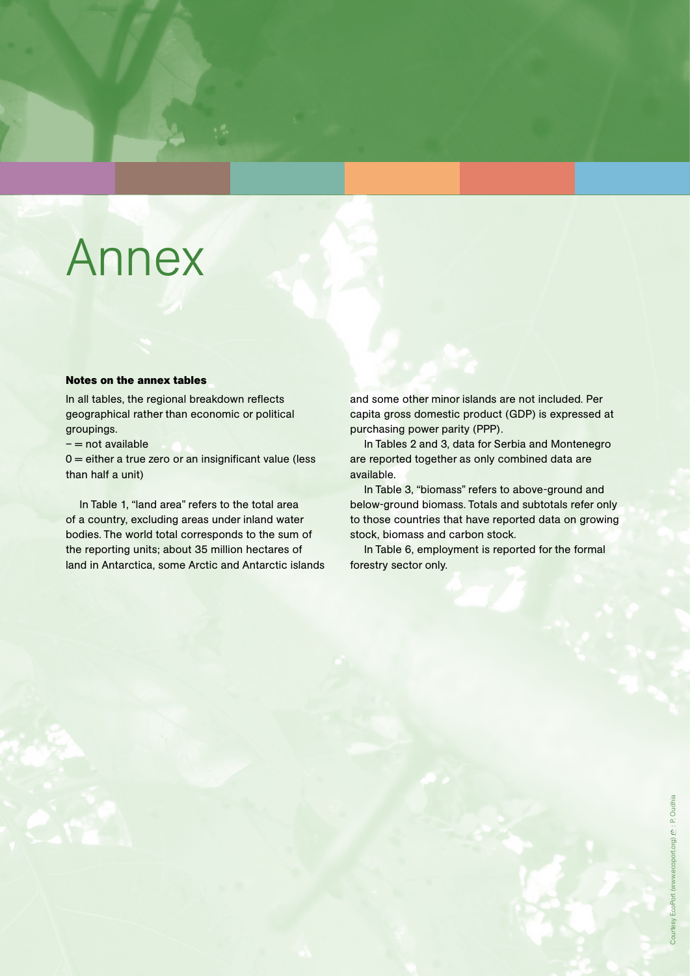#### **Notes on the annex tables**

In all tables, the regional breakdown reflects geographical rather than economic or political groupings.

 $-$  = not available

 $0 =$  either a true zero or an insignificant value (less than half a unit)

In Table 1, "land area" refers to the total area of a country, excluding areas under inland water bodies. The world total corresponds to the sum of the reporting units; about 35 million hectares of land in Antarctica, some Arctic and Antarctic islands and some other minor islands are not included. Per capita gross domestic product (GDP) is expressed at purchasing power parity (PPP).

In Tables 2 and 3, data for Serbia and Montenegro are reported together as only combined data are available.

In Table 3, "biomass" refers to above-ground and below-ground biomass. Totals and subtotals refer only to those countries that have reported data on growing stock, biomass and carbon stock.

In Table 6, employment is reported for the formal forestry sector only.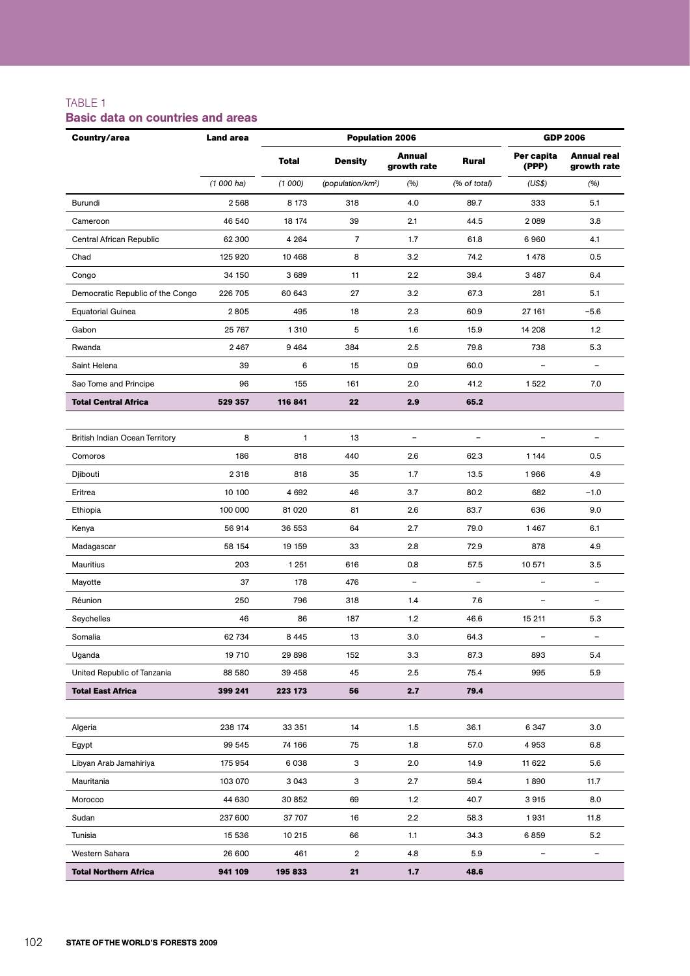### TABLE 1

### Basic data on countries and areas

| Country/area                          | <b>Land area</b> |              | <b>Population 2006</b>        | <b>GDP 2006</b>          |                          |                          |                                   |
|---------------------------------------|------------------|--------------|-------------------------------|--------------------------|--------------------------|--------------------------|-----------------------------------|
|                                       |                  | <b>Total</b> | <b>Density</b>                | Annual<br>growth rate    | Rural                    | Per capita<br>(PPP)      | <b>Annual real</b><br>growth rate |
|                                       | $(1000)$ ha)     | (1000)       | (population/km <sup>2</sup> ) | (%)                      | (% of total)             | (US\$)                   | (96)                              |
| Burundi                               | 2568             | 8 1 7 3      | 318                           | 4.0                      | 89.7                     | 333                      | 5.1                               |
| Cameroon                              | 46 540           | 18 174       | 39                            | 2.1                      | 44.5                     | 2089                     | 3.8                               |
| Central African Republic              | 62 300           | 4 2 6 4      | $\overline{7}$                | 1.7                      | 61.8                     | 6960                     | 4.1                               |
| Chad                                  | 125 920          | 10 4 68      | 8                             | 3.2                      | 74.2                     | 1478                     | 0.5                               |
| Congo                                 | 34 150           | 3 6 8 9      | 11                            | 2.2                      | 39.4                     | 3 4 8 7                  | 6.4                               |
| Democratic Republic of the Congo      | 226 705          | 60 643       | 27                            | 3.2                      | 67.3                     | 281                      | 5.1                               |
| <b>Equatorial Guinea</b>              | 2805             | 495          | 18                            | 2.3                      | 60.9                     | 27 161                   | $-5.6$                            |
| Gabon                                 | 25 767           | 1310         | 5                             | 1.6                      | 15.9                     | 14 208                   | 1.2                               |
| Rwanda                                | 2467             | 9464         | 384                           | 2.5                      | 79.8                     | 738                      | 5.3                               |
| Saint Helena                          | 39               | 6            | 15                            | 0.9                      | 60.0                     |                          | $\qquad \qquad -$                 |
| Sao Tome and Principe                 | 96               | 155          | 161                           | 2.0                      | 41.2                     | 1522                     | 7.0                               |
| <b>Total Central Africa</b>           | 529 357          | 116 841      | 22                            | 2.9                      | 65.2                     |                          |                                   |
|                                       |                  |              |                               |                          |                          |                          |                                   |
| <b>British Indian Ocean Territory</b> | 8                | 1            | 13                            | $\overline{\phantom{a}}$ | $\overline{\phantom{a}}$ | $\overline{\phantom{a}}$ | $\overline{\phantom{a}}$          |
| Comoros                               | 186              | 818          | 440                           | 2.6                      | 62.3                     | 1 1 4 4                  | 0.5                               |
| Djibouti                              | 2 3 1 8          | 818          | 35                            | 1.7                      | 13.5                     | 1966                     | 4.9                               |
| Eritrea                               | 10 100           | 4 6 9 2      | 46                            | 3.7                      | 80.2                     | 682                      | $-1.0$                            |
| Ethiopia                              | 100 000          | 81 0 20      | 81                            | 2.6                      | 83.7                     | 636                      | 9.0                               |
| Kenya                                 | 56 914           | 36 553       | 64                            | 2.7                      | 79.0                     | 1467                     | 6.1                               |
| Madagascar                            | 58 154           | 19 159       | 33                            | 2.8                      | 72.9                     | 878                      | 4.9                               |
| Mauritius                             | 203              | 1 2 5 1      | 616                           | 0.8                      | 57.5                     | 10 571                   | 3.5                               |
| Mayotte                               | 37               | 178          | 476                           | $\overline{\phantom{a}}$ | $\qquad \qquad -$        | L,                       | $\overline{\phantom{0}}$          |
| Réunion                               | 250              | 796          | 318                           | 1.4                      | 7.6                      | -                        | $\qquad \qquad -$                 |
| Seychelles                            | 46               | 86           | 187                           | 1.2                      | 46.6                     | 15 211                   | 5.3                               |
| Somalia                               | 62 734           | 8 4 4 5      | 13                            | 3.0                      | 64.3                     |                          | $\qquad \qquad -$                 |
| Uganda                                | 19 710           | 29 898       | 152                           | 3.3                      | 87.3                     | 893                      | 5.4                               |
| United Republic of Tanzania           | 88 580           | 39 458       | 45                            | 2.5                      | 75.4                     | 995                      | 5.9                               |
| <b>Total East Africa</b>              | 399 241          | 223 173      | 56                            | 2.7                      | 79.4                     |                          |                                   |
|                                       |                  |              |                               |                          |                          |                          |                                   |
| Algeria                               | 238 174          | 33 351       | 14                            | 1.5                      | 36.1                     | 6 3 4 7                  | 3.0                               |
| Egypt                                 | 99 545           | 74 166       | 75                            | 1.8                      | 57.0                     | 4953                     | 6.8                               |
| Libyan Arab Jamahiriya                | 175 954          | 6038         | 3                             | 2.0                      | 14.9                     | 11 622                   | 5.6                               |
| Mauritania                            | 103 070          | 3 0 4 3      | 3                             | 2.7                      | 59.4                     | 1890                     | 11.7                              |
| Morocco                               | 44 630           | 30 852       | 69                            | 1.2                      | 40.7                     | 3915                     | 8.0                               |
| Sudan                                 | 237 600          | 37 707       | 16                            | 2.2                      | 58.3                     | 1931                     | 11.8                              |
| Tunisia                               | 15 536           | 10 215       | 66                            | 1.1                      | 34.3                     | 6859                     | 5.2                               |
| Western Sahara                        | 26 600           | 461          | 2                             | 4.8                      | 5.9                      |                          | $\frac{1}{2}$                     |
| <b>Total Northern Africa</b>          | 941 109          | 195 833      | 21                            | 1.7                      | 48.6                     |                          |                                   |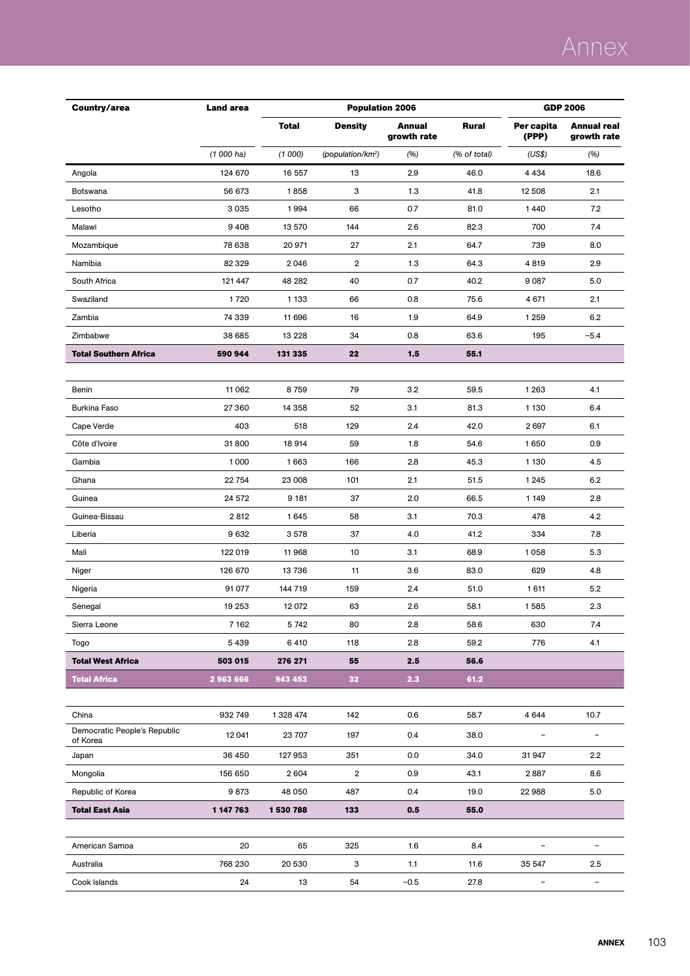| Country/area                             | <b>Land area</b> |              | <b>Population 2006</b>        | <b>GDP 2006</b>       |              |                     |                            |
|------------------------------------------|------------------|--------------|-------------------------------|-----------------------|--------------|---------------------|----------------------------|
|                                          |                  | <b>Total</b> | <b>Density</b>                | Annual<br>growth rate | Rural        | Per capita<br>(PPP) | Annual real<br>growth rate |
|                                          | $(1000)$ ha)     | (1000)       | (population/km <sup>2</sup> ) | (%)                   | (% of total) | (US\$)              | (%)                        |
| Angola                                   | 124 670          | 16 557       | 13                            | 2.9                   | 46.0         | 4 4 3 4             | 18.6                       |
| Botswana                                 | 56 673           | 1858         | 3                             | 1.3                   | 41.8         | 12 508              | 2.1                        |
| Lesotho                                  | 3035             | 1994         | 66                            | 0.7                   | 81.0         | 1440                | 7.2                        |
| Malawi                                   | 9408             | 13 570       | 144                           | 2.6                   | 82.3         | 700                 | 7.4                        |
| Mozambique                               | 78 638           | 20 971       | 27                            | 2.1                   | 64.7         | 739                 | 8.0                        |
| Namibia                                  | 82 3 29          | 2046         | $\overline{2}$                | 1.3                   | 64.3         | 4819                | 2.9                        |
| South Africa                             | 121 447          | 48 282       | 40                            | 0.7                   | 40.2         | 9 0 87              | 5.0                        |
| Swaziland                                | 1720             | 1 1 3 3      | 66                            | 0.8                   | 75.6         | 4 6 7 1             | 2.1                        |
| Zambia                                   | 74 339           | 11 696       | 16                            | 1.9                   | 64.9         | 1 2 5 9             | 6.2                        |
| Zimbabwe                                 | 38 685           | 13 2 28      | 34                            | 0.8                   | 63.6         | 195                 | $-5.4$                     |
| <b>Total Southern Africa</b>             | 590 944          | 131 335      | 22                            | 1.5                   | 55.1         |                     |                            |
|                                          |                  |              |                               |                       |              |                     |                            |
| Benin                                    | 11 062           | 8759         | 79                            | 3.2                   | 59.5         | 1 2 6 3             | 4.1                        |
| <b>Burkina Faso</b>                      | 27 360           | 14 3 5 8     | 52                            | 3.1                   | 81.3         | 1 1 3 0             | 6.4                        |
| Cape Verde                               | 403              | 518          | 129                           | 2.4                   | 42.0         | 2697                | 6.1                        |
| Côte d'Ivoire                            | 31800            | 18914        | 59                            | 1.8                   | 54.6         | 1650                | 0.9                        |
| Gambia                                   | 1000             | 1663         | 166                           | 2.8                   | 45.3         | 1 1 3 0             | 4.5                        |
| Ghana                                    | 22754            | 23 008       | 101                           | 2.1                   | 51.5         | 1 2 4 5             | 6.2                        |
| Guinea                                   | 24 572           | 9 181        | 37                            | 2.0                   | 66.5         | 1 1 4 9             | 2.8                        |
| Guinea-Bissau                            | 2812             | 1645         | 58                            | 3.1                   | 70.3         | 478                 | 4.2                        |
| Liberia                                  | 9632             | 3578         | 37                            | 4.0                   | 41.2         | 334                 | 7.8                        |
| Mali                                     | 122 019          | 11968        | 10                            | 3.1                   | 68.9         | 1058                | 5.3                        |
| Niger                                    | 126 670          | 13 736       | 11                            | 3.6                   | 83.0         | 629                 | 4.8                        |
| Nigeria                                  | 91 077           | 144 719      | 159                           | 2.4                   | 51.0         | 1611                | 5.2                        |
| Senegal                                  | 19 253           | 12 072       | 63                            | 2.6                   | 58.1         | 1585                | 2.3                        |
| Sierra Leone                             | 7 1 6 2          | 5742         | 80                            | 2.8                   | 58.6         | 630                 | 7.4                        |
| Togo                                     | 5439             | 6410         | 118                           | 2.8                   | 59.2         | 776                 | 4.1                        |
| <b>Total West Africa</b>                 | 503 015          | 276 271      | 55                            | 2.5                   | 56.6         |                     |                            |
| <b>Total Africa</b>                      | 2963666          | 943 453      | 32                            | 2.3                   | 61.2         |                     |                            |
|                                          |                  |              |                               |                       |              |                     |                            |
| China                                    | 932749           | 1 328 474    | 142                           | 0.6                   | 58.7         | 4 6 4 4             | 10.7                       |
| Democratic People's Republic<br>of Korea | 12 041           | 23 707       | 197                           | 0.4                   | 38.0         | -                   | $\overline{\phantom{0}}$   |
| Japan                                    | 36 450           | 127953       | 351                           | 0.0                   | 34.0         | 31947               | 2.2                        |
| Mongolia                                 | 156 650          | 2604         | $\overline{2}$                | 0.9                   | 43.1         | 2887                | 8.6                        |
| Republic of Korea                        | 9873             | 48 050       | 487                           | 0.4                   | 19.0         | 22 988              | 5.0                        |
| <b>Total East Asia</b>                   | 1 147 763        | 1530788      | 133                           | 0.5                   | 55.0         |                     |                            |
|                                          |                  |              |                               |                       |              |                     |                            |
| American Samoa                           | 20               | 65           | 325                           | 1.6                   | 8.4          | $\qquad \qquad -$   | $\overline{\phantom{a}}$   |
| Australia                                | 768 230          | 20 530       | 3                             | 1.1                   | 11.6         | 35 547              | 2.5                        |
| Cook Islands                             | 24               | 13           | 54                            | $-0.5$                | 27.8         |                     | -                          |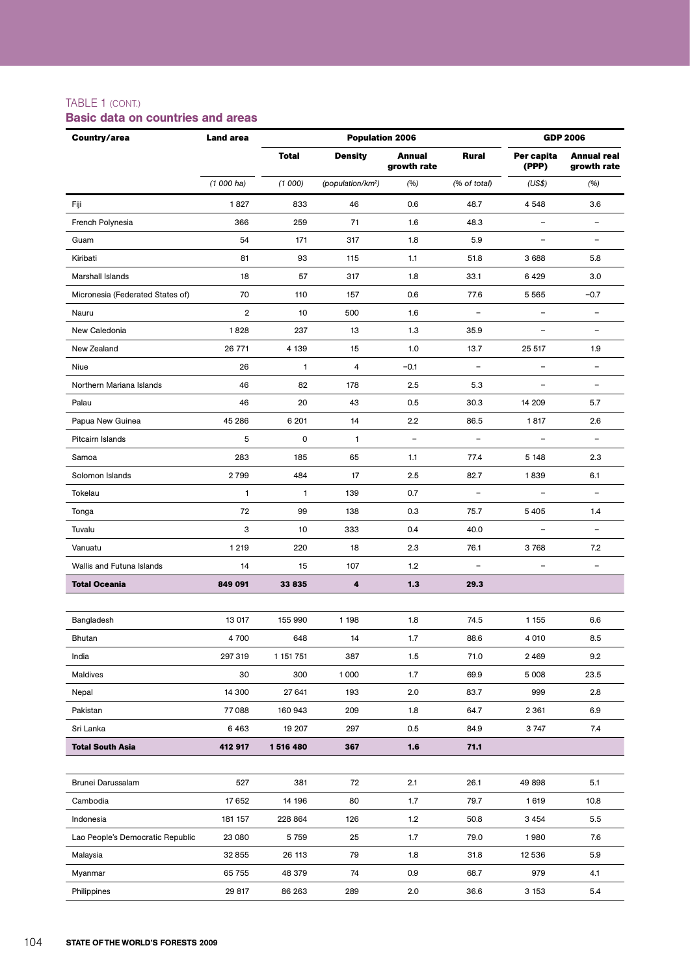### TABLE 1 (CONT.)

### Basic data on countries and areas

| Country/area                     | <b>Land area</b> |              | <b>Population 2006</b>        |                              |                          |                          | <b>GDP 2006</b>                   |
|----------------------------------|------------------|--------------|-------------------------------|------------------------------|--------------------------|--------------------------|-----------------------------------|
|                                  |                  | <b>Total</b> | <b>Density</b>                | <b>Annual</b><br>growth rate | <b>Rural</b>             | Per capita<br>(PPP)      | <b>Annual real</b><br>growth rate |
|                                  | $(1000)$ ha)     | (1000)       | (population/km <sup>2</sup> ) | (%)                          | (% of total)             | (US\$)                   | (%)                               |
| Fiji                             | 1827             | 833          | 46                            | 0.6                          | 48.7                     | 4548                     | 3.6                               |
| French Polynesia                 | 366              | 259          | 71                            | 1.6                          | 48.3                     | $\equiv$                 | $\overline{\phantom{a}}$          |
| Guam                             | 54               | 171          | 317                           | 1.8                          | 5.9                      |                          | $\equiv$                          |
| Kiribati                         | 81               | 93           | 115                           | 1.1                          | 51.8                     | 3688                     | 5.8                               |
| Marshall Islands                 | 18               | 57           | 317                           | 1.8                          | 33.1                     | 6429                     | 3.0                               |
| Micronesia (Federated States of) | 70               | 110          | 157                           | 0.6                          | 77.6                     | 5565                     | $-0.7$                            |
| Nauru                            | $\overline{2}$   | 10           | 500                           | 1.6                          | $\overline{\phantom{a}}$ | $\overline{\phantom{0}}$ | $\overline{\phantom{a}}$          |
| New Caledonia                    | 1828             | 237          | 13                            | 1.3                          | 35.9                     | $\overline{\phantom{0}}$ | $\overline{\phantom{0}}$          |
| New Zealand                      | 26 771           | 4 1 3 9      | 15                            | 1.0                          | 13.7                     | 25 517                   | 1.9                               |
| Niue                             | 26               | $\mathbf{1}$ | $\overline{4}$                | $-0.1$                       | $\overline{\phantom{a}}$ |                          | $\overline{\phantom{a}}$          |
| Northern Mariana Islands         | 46               | 82           | 178                           | 2.5                          | 5.3                      |                          | $\qquad \qquad -$                 |
| Palau                            | 46               | 20           | 43                            | 0.5                          | 30.3                     | 14 209                   | 5.7                               |
| Papua New Guinea                 | 45 286           | 6 201        | 14                            | 2.2                          | 86.5                     | 1817                     | 2.6                               |
| Pitcairn Islands                 | 5                | 0            | 1                             | $\overline{\phantom{a}}$     | $\overline{\phantom{a}}$ |                          | $\qquad \qquad -$                 |
| Samoa                            | 283              | 185          | 65                            | 1.1                          | 77.4                     | 5 1 4 8                  | 2.3                               |
| Solomon Islands                  | 2799             | 484          | 17                            | 2.5                          | 82.7                     | 1839                     | 6.1                               |
| Tokelau                          | 1                | $\mathbf{1}$ | 139                           | 0.7                          | $\overline{\phantom{a}}$ | $\overline{\phantom{a}}$ | $\overline{\phantom{a}}$          |
| Tonga                            | 72               | 99           | 138                           | 0.3                          | 75.7                     | 5 4 0 5                  | 1.4                               |
| Tuvalu                           | 3                | 10           | 333                           | 0.4                          | 40.0                     |                          | $\overline{\phantom{a}}$          |
| Vanuatu                          | 1 2 1 9          | 220          | 18                            | 2.3                          | 76.1                     | 3768                     | 7.2                               |
| Wallis and Futuna Islands        | 14               | 15           | 107                           | 1.2                          | $\overline{\phantom{a}}$ |                          | $\qquad \qquad -$                 |
| <b>Total Oceania</b>             | 849 091          | 33 835       | 4                             | 1.3                          | 29.3                     |                          |                                   |
|                                  |                  |              |                               |                              |                          |                          |                                   |
| Bangladesh                       | 13 017           | 155 990      | 1 1 9 8                       | 1.8                          | 74.5                     | 1 1 5 5                  | 6.6                               |
| Bhutan                           | 4 700            | 648          | 14                            | 1.7                          | 88.6                     | 4 0 1 0                  | 8.5                               |
| India                            | 297 319          | 1 151 751    | 387                           | 1.5                          | 71.0                     | 2469                     | 9.2                               |
| <b>Maldives</b>                  | 30               | 300          | 1000                          | 1.7                          | 69.9                     | 5 0 0 8                  | 23.5                              |
| Nepal                            | 14 300           | 27 641       | 193                           | 2.0                          | 83.7                     | 999                      | 2.8                               |
| Pakistan                         | 77088            | 160 943      | 209                           | 1.8                          | 64.7                     | 2 3 6 1                  | 6.9                               |
| Sri Lanka                        | 6463             | 19 207       | 297                           | 0.5                          | 84.9                     | 3747                     | 7.4                               |
| <b>Total South Asia</b>          | 412 917          | 1516480      | 367                           | 1.6                          | 71.1                     |                          |                                   |
|                                  |                  |              |                               |                              |                          |                          |                                   |
| Brunei Darussalam                | 527              | 381          | 72                            | 2.1                          | 26.1                     | 49 898                   | 5.1                               |
| Cambodia                         | 17652            | 14 196       | 80                            | 1.7                          | 79.7                     | 1619                     | 10.8                              |
| Indonesia                        | 181 157          | 228 864      | 126                           | 1.2                          | 50.8                     | 3 4 5 4                  | 5.5                               |
| Lao People's Democratic Republic | 23 080           | 5759         | 25                            | 1.7                          | 79.0                     | 1980                     | 7.6                               |
| Malaysia                         | 32 855           | 26 113       | 79                            | 1.8                          | 31.8                     | 12 536                   | 5.9                               |
| Myanmar                          | 65 755           | 48 379       | 74                            | 0.9                          | 68.7                     | 979                      | 4.1                               |
| Philippines                      | 29 817           | 86 263       | 289                           | 2.0                          | 36.6                     | 3 1 5 3                  | 5.4                               |
|                                  |                  |              |                               |                              |                          |                          |                                   |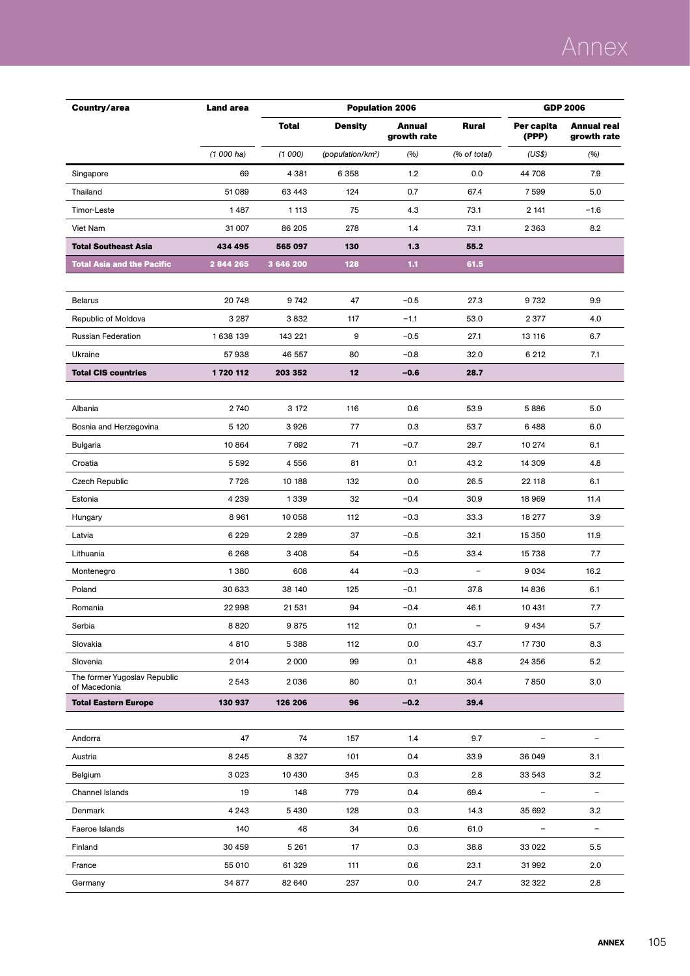| Country/area                                 | <b>Land area</b> |              | <b>Population 2006</b>        | <b>GDP 2006</b>       |                          |                          |                            |
|----------------------------------------------|------------------|--------------|-------------------------------|-----------------------|--------------------------|--------------------------|----------------------------|
|                                              |                  | <b>Total</b> | <b>Density</b>                | Annual<br>growth rate | Rural                    | Per capita<br>(PPP)      | Annual real<br>growth rate |
|                                              | $(1000)$ ha)     | (1000)       | (population/km <sup>2</sup> ) | (%)                   | (% of total)             | (US\$)                   | (%)                        |
| Singapore                                    | 69               | 4 3 8 1      | 6 3 5 8                       | 1.2                   | 0.0                      | 44 708                   | 7.9                        |
| Thailand                                     | 51 089           | 63 4 43      | 124                           | 0.7                   | 67.4                     | 7599                     | 5.0                        |
| Timor-Leste                                  | 1487             | 1 1 1 3      | 75                            | 4.3                   | 73.1                     | 2 141                    | $-1.6$                     |
| Viet Nam                                     | 31 007           | 86 205       | 278                           | 1.4                   | 73.1                     | 2 3 6 3                  | 8.2                        |
| <b>Total Southeast Asia</b>                  | 434 495          | 565 097      | 130                           | 1.3                   | 55.2                     |                          |                            |
| <b>Total Asia and the Pacific</b>            | 2 844 265        | 3 646 200    | 128                           | 1.1                   | 61.5                     |                          |                            |
|                                              |                  |              |                               |                       |                          |                          |                            |
| <b>Belarus</b>                               | 20 748           | 9742         | 47                            | $-0.5$                | 27.3                     | 9732                     | 9.9                        |
| Republic of Moldova                          | 3 2 8 7          | 3 832        | 117                           | $-1.1$                | 53.0                     | 2377                     | 4.0                        |
| <b>Russian Federation</b>                    | 1638 139         | 143 221      | 9                             | $-0.5$                | 27.1                     | 13 116                   | 6.7                        |
| Ukraine                                      | 57938            | 46 557       | 80                            | $-0.8$                | 32.0                     | 6 212                    | 7.1                        |
| <b>Total CIS countries</b>                   | 1720 112         | 203 352      | 12                            | $-0.6$                | 28.7                     |                          |                            |
|                                              |                  |              |                               |                       |                          |                          |                            |
| Albania                                      | 2740             | 3 172        | 116                           | 0.6                   | 53.9                     | 5886                     | 5.0                        |
| Bosnia and Herzegovina                       | 5 1 2 0          | 3926         | 77                            | 0.3                   | 53.7                     | 6488                     | 6.0                        |
| Bulgaria                                     | 10 864           | 7692         | 71                            | $-0.7$                | 29.7                     | 10 274                   | 6.1                        |
| Croatia                                      | 5 5 9 2          | 4556         | 81                            | 0.1                   | 43.2                     | 14 309                   | 4.8                        |
| Czech Republic                               | 7726             | 10 188       | 132                           | 0.0                   | 26.5                     | 22 118                   | 6.1                        |
| Estonia                                      | 4 2 3 9          | 1339         | 32                            | $-0.4$                | 30.9                     | 18 969                   | 11.4                       |
| Hungary                                      | 8961             | 10 058       | 112                           | $-0.3$                | 33.3                     | 18 277                   | 3.9                        |
| Latvia                                       | 6 2 2 9          | 2 2 8 9      | 37                            | $-0.5$                | 32.1                     | 15 350                   | 11.9                       |
| Lithuania                                    | 6 2 6 8          | 3 4 0 8      | 54                            | $-0.5$                | 33.4                     | 15738                    | 7.7                        |
| Montenegro                                   | 1380             | 608          | 44                            | $-0.3$                | $\overline{\phantom{a}}$ | 9034                     | 16.2                       |
| Poland                                       | 30 633           | 38 140       | 125                           | $-0.1$                | 37.8                     | 14836                    | 6.1                        |
| Romania                                      | 22998            | 21 531       | 94                            | $-0.4$                | 46.1                     | 10 431                   | 7.7                        |
| Serbia                                       | 8820             | 9875         | 112                           | 0.1                   | $\overline{\phantom{a}}$ | 9 4 3 4                  | 5.7                        |
| Slovakia                                     | 4810             | 5388         | 112                           | 0.0                   | 43.7                     | 17730                    | 8.3                        |
| Slovenia                                     | 2014             | 2000         | 99                            | 0.1                   | 48.8                     | 24 356                   | 5.2                        |
| The former Yugoslav Republic<br>of Macedonia | 2543             | 2036         | 80                            | 0.1                   | 30.4                     | 7850                     | 3.0                        |
| <b>Total Eastern Europe</b>                  | 130 937          | 126 206      | 96                            | $-0.2$                | 39.4                     |                          |                            |
|                                              |                  |              |                               |                       |                          |                          |                            |
| Andorra                                      | 47               | 74           | 157                           | 1.4                   | 9.7                      |                          | $\blacksquare$             |
| Austria                                      | 8 2 4 5          | 8 3 2 7      | 101                           | 0.4                   | 33.9                     | 36 049                   | 3.1                        |
| Belgium                                      | 3023             | 10 4 30      | 345                           | 0.3                   | 2.8                      | 33 543                   | 3.2                        |
| Channel Islands                              | 19               | 148          | 779                           | 0.4                   | 69.4                     | $\overline{\phantom{0}}$ | $\overline{\phantom{a}}$   |
| Denmark                                      | 4 2 4 3          | 5430         | 128                           | 0.3                   | 14.3                     | 35 692                   | 3.2                        |
| Faeroe Islands                               | 140              | 48           | 34                            | 0.6                   | 61.0                     | $\overline{\phantom{a}}$ | $\overline{\phantom{a}}$   |
| Finland                                      | 30 459           | 5 2 6 1      | 17                            | 0.3                   | 38.8                     | 33 0 22                  | 5.5                        |
| France                                       | 55 010           | 61 329       | 111                           | 0.6                   | 23.1                     | 31992                    | 2.0                        |
| Germany                                      | 34 877           | 82 640       | 237                           | 0.0                   | 24.7                     | 32 322                   | 2.8                        |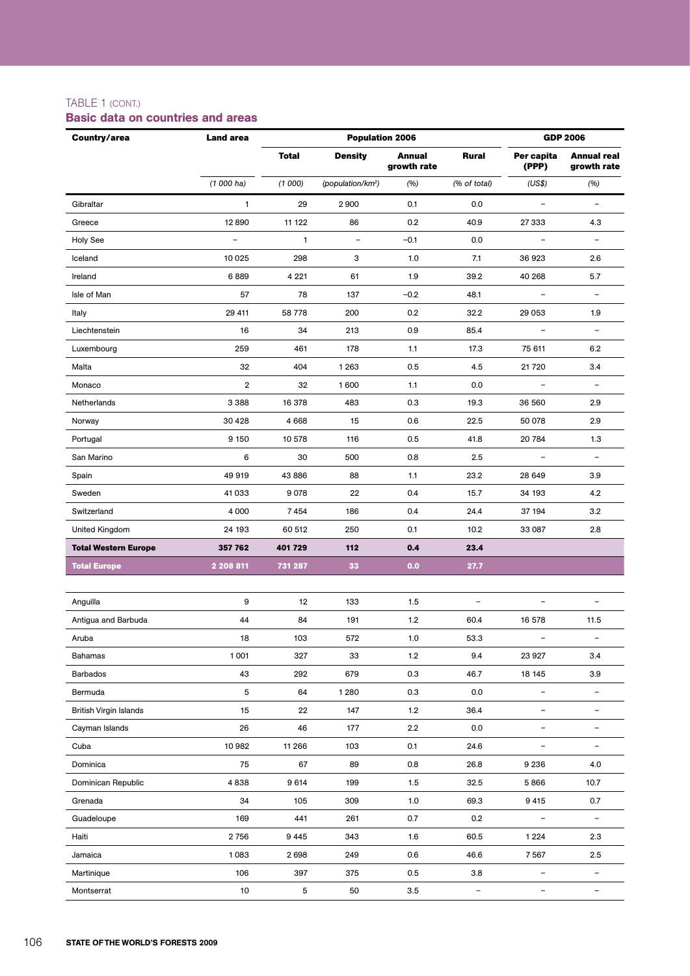### TABLE 1 (cont.)

#### Gibraltar 1 29 2 900 0.1 0.0 – – Greece 12 890 11 122 86 0.2 40.9 27 333 4.3 Holy See – 1 – –0.1 0.0 – – Iceland 10 025 298 3 1.0 7.1 36 923 2.6 Ireland 6 889 4 221 61 1.9 39.2 40 268 5.7 Isle of Man 57 78 137 –0.2 48.1 – – Italy 29 411 58 778 200 0.2 32.2 29 053 1.9 Liechtenstein 16 34 213 0.9 85.4 – – Luxembourg 259 461 178 1.1 17.3 75 611 6.2 Malta 32 404 1 263 0.5 4.5 21 720 3.4 Monaco 2 32 1 600 1.1 0.0 – – Netherlands 3 388 16 378 483 0.3 19.3 36 560 2.9 Norway 30 428 4 668 15 0.6 22.5 50 078 2.9 Portugal 9 150 10 578 116 0.5 41.8 20 784 1.3 San Marino 6 30 500 0.8 2.5 – – Spain 49 919 43 886 88 1.1 23.2 28 649 3.9 Sweden 41 033 9 078 22 0.4 15.7 34 193 4.2 Switzerland 4 000 7 454 186 0.4 24.4 37 194 3.2 United Kingdom 2.8 24 193 60 512 250 0.1 10.2 33 087 2.8 **Total Western Europe 357 762 401 729 112 0.4 23.4 Total Europe 2 208 811 731 287 33 0.0 27.7 Country/area Land area Population 2006 GDP 2006 Total Density Annual growth rate Rural Per capita (PPP) Annual real growth rate** *(1 000 ha) (1 000) (population/km2 ) (%) (% of total) (US\$) (%)*

| Anguilla                      | 9      | 12     | 133     | 1.5   | $\qquad \qquad -$ | -                        | -                        |
|-------------------------------|--------|--------|---------|-------|-------------------|--------------------------|--------------------------|
| Antigua and Barbuda           | 44     | 84     | 191     | 1.2   | 60.4              | 16 578                   | 11.5                     |
| Aruba                         | 18     | 103    | 572     | 1.0   | 53.3              | -                        | $\overline{\phantom{a}}$ |
| <b>Bahamas</b>                | 1001   | 327    | 33      | 1.2   | 9.4               | 23 9 27                  | 3.4                      |
| <b>Barbados</b>               | 43     | 292    | 679     | 0.3   | 46.7              | 18 145                   | 3.9                      |
| Bermuda                       | 5      | 64     | 1 2 8 0 | 0.3   | 0.0               | $\overline{\phantom{m}}$ |                          |
| <b>British Virgin Islands</b> | 15     | 22     | 147     | $1.2$ | 36.4              |                          |                          |
| Cayman Islands                | 26     | 46     | 177     | 2.2   | 0.0               |                          |                          |
| Cuba                          | 10 982 | 11 266 | 103     | 0.1   | 24.6              | $\overline{\phantom{0}}$ |                          |
| Dominica                      | 75     | 67     | 89      | 0.8   | 26.8              | 9 2 3 6                  | 4.0                      |
| Dominican Republic            | 4838   | 9 6 14 | 199     | 1.5   | 32.5              | 5866                     | 10.7                     |
| Grenada                       | 34     | 105    | 309     | 1.0   | 69.3              | 9 4 1 5                  | 0.7                      |
| Guadeloupe                    | 169    | 441    | 261     | 0.7   | 0.2               | $\qquad \qquad -$        | $\overline{\phantom{m}}$ |
| Haiti                         | 2756   | 9445   | 343     | 1.6   | 60.5              | 1 2 2 4                  | 2.3                      |
| Jamaica                       | 1083   | 2698   | 249     | 0.6   | 46.6              | 7567                     | 2.5                      |
| Martinique                    | 106    | 397    | 375     | 0.5   | 3.8               | $\qquad \qquad -$        | $\overline{\phantom{m}}$ |
| Montserrat                    | 10     | 5      | 50      | 3.5   | -                 |                          |                          |

### Basic data on countries and areas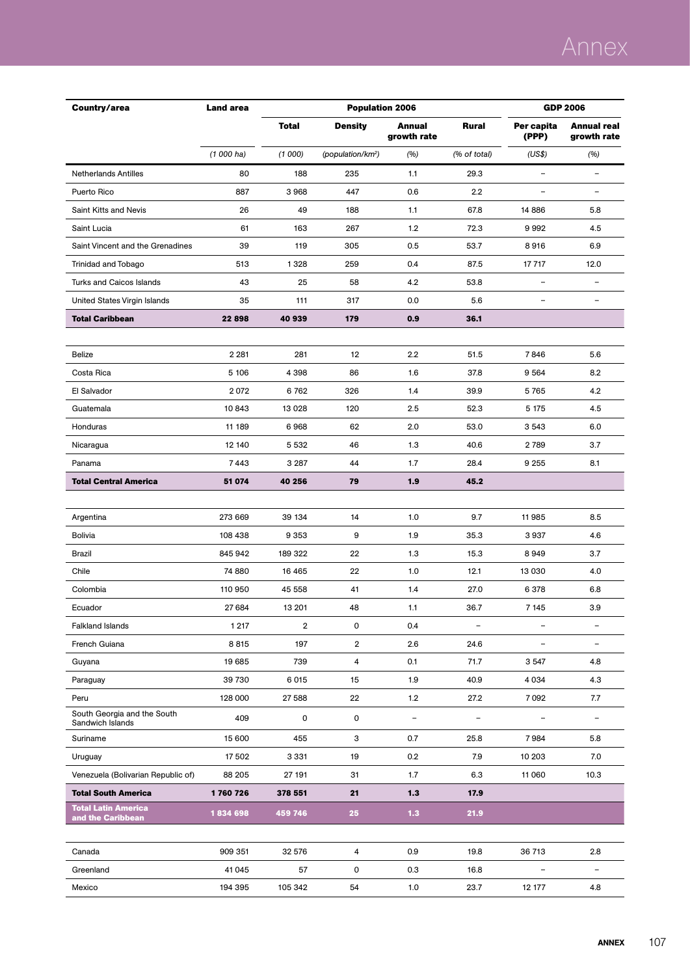| <b>Total</b><br><b>Annual</b><br>Per capita<br><b>Annual real</b><br><b>Density</b><br>Rural<br>growth rate<br>(PPP)<br>growth rate<br>$(1000)$ ha)<br>(1000)<br>(population/km <sup>2</sup> )<br>(%)<br>(% of total)<br>(US\$)<br>(%)<br>80<br>$\equiv$<br><b>Netherlands Antilles</b><br>188<br>235<br>1.1<br>29.3<br>-<br>887<br>3968<br>447<br>2.2<br>Puerto Rico<br>0.6<br>÷,<br>$\overline{\phantom{0}}$<br>14 8 86<br>Saint Kitts and Nevis<br>26<br>49<br>188<br>1.1<br>67.8<br>5.8<br>1.2<br>Saint Lucia<br>61<br>163<br>267<br>72.3<br>9992<br>4.5<br>39<br>Saint Vincent and the Grenadines<br>119<br>305<br>0.5<br>53.7<br>8916<br>6.9<br>259<br>12.0<br>Trinidad and Tobago<br>513<br>1328<br>0.4<br>87.5<br>17 717<br><b>Turks and Caicos Islands</b><br>43<br>25<br>58<br>4.2<br>53.8<br>$\overline{\phantom{a}}$<br>$\overline{\phantom{a}}$<br>5.6<br>35<br>111<br>317<br>0.0<br>United States Virgin Islands<br>-<br><b>Total Caribbean</b><br>22898<br>40 939<br>179<br>0.9<br>36.1<br>2 2 8 1<br>281<br>12<br>2.2<br>7846<br>5.6<br><b>Belize</b><br>51.5<br>5 10 6<br>4398<br>37.8<br>9564<br>8.2<br>Costa Rica<br>86<br>1.6<br>2072<br>326<br>4.2<br>El Salvador<br>6762<br>1.4<br>39.9<br>5765<br>Guatemala<br>10843<br>13 0 28<br>120<br>2.5<br>52.3<br>5 175<br>4.5<br>Honduras<br>11 189<br>6968<br>62<br>2.0<br>53.0<br>3 5 4 3<br>6.0<br>46<br>12 140<br>5 5 3 2<br>1.3<br>40.6<br>2789<br>3.7<br>Nicaragua<br>44<br>9 2 5 5<br>8.1<br>Panama<br>7443<br>3 2 8 7<br>1.7<br>28.4<br>1.9<br><b>Total Central America</b><br>51 074<br>40 256<br>79<br>45.2<br>273 669<br>Argentina<br>39 134<br>14<br>1.0<br>9.7<br>11985<br>8.5<br>9<br>4.6<br><b>Bolivia</b><br>108 438<br>9 3 5 3<br>1.9<br>35.3<br>3937<br>Brazil<br>845 942<br>189 322<br>22<br>1.3<br>15.3<br>8949<br>3.7<br>74 880<br>22<br>1.0<br>12.1<br>4.0<br>Chile<br>16 4 65<br>13 0 30<br>Colombia<br>110 950<br>45 558<br>41<br>1.4<br>27.0<br>6 3 7 8<br>6.8<br>27 684<br>3.9<br>Ecuador<br>13 201<br>48<br>1.1<br>36.7<br>7 1 4 5<br>$\overline{\mathbf{2}}$<br>0<br>1 2 1 7<br>0.4<br><b>Falkland Islands</b><br>$\overline{\phantom{a}}$<br>-<br>8815<br>197<br>$\overline{2}$<br>2.6<br>French Guiana<br>24.6<br>-<br>$\overline{\mathbf{4}}$<br>19 685<br>739<br>0.1<br>71.7<br>3547<br>4.8<br>Guyana<br>39 730<br>6015<br>15<br>1.9<br>40.9<br>4.3<br>Paraguay<br>4 0 3 4<br>128 000<br>22<br>Peru<br>27 588<br>1.2<br>27.2<br>7092<br>7.7<br>South Georgia and the South<br>409<br>0<br>0<br>$\overline{\phantom{a}}$<br>$\overline{\phantom{a}}$<br>$\overline{\phantom{a}}$<br>Sandwich Islands<br>3<br>7984<br>Suriname<br>15 600<br>455<br>0.7<br>25.8<br>5.8<br>Uruguay<br>17502<br>3 3 3 1<br>19<br>0.2<br>7.9<br>10 203<br>7.0<br>6.3<br>Venezuela (Bolivarian Republic of)<br>88 205<br>27 191<br>31<br>1.7<br>11 060<br>10.3<br>21<br>$1.3$<br><b>Total South America</b><br>1760726<br>378 551<br>17.9<br><b>Total Latin America</b><br>1834698<br>25<br>$1.3$<br>21.9<br>459 746<br>and the Caribbean<br>909 351<br>32 576<br>4<br>0.9<br>36 713<br>2.8<br>Canada<br>19.8<br>0<br>Greenland<br>41 045<br>57<br>0.3<br>16.8<br>÷,<br>194 395<br>105 342<br>54<br>$1.0$<br>23.7<br>12 177<br>4.8<br>Mexico | Country/area | <b>Land area</b> | <b>Population 2006</b> | <b>GDP 2006</b> |  |  |
|----------------------------------------------------------------------------------------------------------------------------------------------------------------------------------------------------------------------------------------------------------------------------------------------------------------------------------------------------------------------------------------------------------------------------------------------------------------------------------------------------------------------------------------------------------------------------------------------------------------------------------------------------------------------------------------------------------------------------------------------------------------------------------------------------------------------------------------------------------------------------------------------------------------------------------------------------------------------------------------------------------------------------------------------------------------------------------------------------------------------------------------------------------------------------------------------------------------------------------------------------------------------------------------------------------------------------------------------------------------------------------------------------------------------------------------------------------------------------------------------------------------------------------------------------------------------------------------------------------------------------------------------------------------------------------------------------------------------------------------------------------------------------------------------------------------------------------------------------------------------------------------------------------------------------------------------------------------------------------------------------------------------------------------------------------------------------------------------------------------------------------------------------------------------------------------------------------------------------------------------------------------------------------------------------------------------------------------------------------------------------------------------------------------------------------------------------------------------------------------------------------------------------------------------------------------------------------------------------------------------------------------------------------------------------------------------------------------------------------------------------------------------------------------------------------------------------------------------------------------------------------------------------------------------------------------------------------------------------------------------------------------------------------------------------------------------------------------------------------------------------------------------------------------------------------------------------------------------|--------------|------------------|------------------------|-----------------|--|--|
|                                                                                                                                                                                                                                                                                                                                                                                                                                                                                                                                                                                                                                                                                                                                                                                                                                                                                                                                                                                                                                                                                                                                                                                                                                                                                                                                                                                                                                                                                                                                                                                                                                                                                                                                                                                                                                                                                                                                                                                                                                                                                                                                                                                                                                                                                                                                                                                                                                                                                                                                                                                                                                                                                                                                                                                                                                                                                                                                                                                                                                                                                                                                                                                                                      |              |                  |                        |                 |  |  |
|                                                                                                                                                                                                                                                                                                                                                                                                                                                                                                                                                                                                                                                                                                                                                                                                                                                                                                                                                                                                                                                                                                                                                                                                                                                                                                                                                                                                                                                                                                                                                                                                                                                                                                                                                                                                                                                                                                                                                                                                                                                                                                                                                                                                                                                                                                                                                                                                                                                                                                                                                                                                                                                                                                                                                                                                                                                                                                                                                                                                                                                                                                                                                                                                                      |              |                  |                        |                 |  |  |
|                                                                                                                                                                                                                                                                                                                                                                                                                                                                                                                                                                                                                                                                                                                                                                                                                                                                                                                                                                                                                                                                                                                                                                                                                                                                                                                                                                                                                                                                                                                                                                                                                                                                                                                                                                                                                                                                                                                                                                                                                                                                                                                                                                                                                                                                                                                                                                                                                                                                                                                                                                                                                                                                                                                                                                                                                                                                                                                                                                                                                                                                                                                                                                                                                      |              |                  |                        |                 |  |  |
|                                                                                                                                                                                                                                                                                                                                                                                                                                                                                                                                                                                                                                                                                                                                                                                                                                                                                                                                                                                                                                                                                                                                                                                                                                                                                                                                                                                                                                                                                                                                                                                                                                                                                                                                                                                                                                                                                                                                                                                                                                                                                                                                                                                                                                                                                                                                                                                                                                                                                                                                                                                                                                                                                                                                                                                                                                                                                                                                                                                                                                                                                                                                                                                                                      |              |                  |                        |                 |  |  |
|                                                                                                                                                                                                                                                                                                                                                                                                                                                                                                                                                                                                                                                                                                                                                                                                                                                                                                                                                                                                                                                                                                                                                                                                                                                                                                                                                                                                                                                                                                                                                                                                                                                                                                                                                                                                                                                                                                                                                                                                                                                                                                                                                                                                                                                                                                                                                                                                                                                                                                                                                                                                                                                                                                                                                                                                                                                                                                                                                                                                                                                                                                                                                                                                                      |              |                  |                        |                 |  |  |
|                                                                                                                                                                                                                                                                                                                                                                                                                                                                                                                                                                                                                                                                                                                                                                                                                                                                                                                                                                                                                                                                                                                                                                                                                                                                                                                                                                                                                                                                                                                                                                                                                                                                                                                                                                                                                                                                                                                                                                                                                                                                                                                                                                                                                                                                                                                                                                                                                                                                                                                                                                                                                                                                                                                                                                                                                                                                                                                                                                                                                                                                                                                                                                                                                      |              |                  |                        |                 |  |  |
|                                                                                                                                                                                                                                                                                                                                                                                                                                                                                                                                                                                                                                                                                                                                                                                                                                                                                                                                                                                                                                                                                                                                                                                                                                                                                                                                                                                                                                                                                                                                                                                                                                                                                                                                                                                                                                                                                                                                                                                                                                                                                                                                                                                                                                                                                                                                                                                                                                                                                                                                                                                                                                                                                                                                                                                                                                                                                                                                                                                                                                                                                                                                                                                                                      |              |                  |                        |                 |  |  |
|                                                                                                                                                                                                                                                                                                                                                                                                                                                                                                                                                                                                                                                                                                                                                                                                                                                                                                                                                                                                                                                                                                                                                                                                                                                                                                                                                                                                                                                                                                                                                                                                                                                                                                                                                                                                                                                                                                                                                                                                                                                                                                                                                                                                                                                                                                                                                                                                                                                                                                                                                                                                                                                                                                                                                                                                                                                                                                                                                                                                                                                                                                                                                                                                                      |              |                  |                        |                 |  |  |
|                                                                                                                                                                                                                                                                                                                                                                                                                                                                                                                                                                                                                                                                                                                                                                                                                                                                                                                                                                                                                                                                                                                                                                                                                                                                                                                                                                                                                                                                                                                                                                                                                                                                                                                                                                                                                                                                                                                                                                                                                                                                                                                                                                                                                                                                                                                                                                                                                                                                                                                                                                                                                                                                                                                                                                                                                                                                                                                                                                                                                                                                                                                                                                                                                      |              |                  |                        |                 |  |  |
|                                                                                                                                                                                                                                                                                                                                                                                                                                                                                                                                                                                                                                                                                                                                                                                                                                                                                                                                                                                                                                                                                                                                                                                                                                                                                                                                                                                                                                                                                                                                                                                                                                                                                                                                                                                                                                                                                                                                                                                                                                                                                                                                                                                                                                                                                                                                                                                                                                                                                                                                                                                                                                                                                                                                                                                                                                                                                                                                                                                                                                                                                                                                                                                                                      |              |                  |                        |                 |  |  |
|                                                                                                                                                                                                                                                                                                                                                                                                                                                                                                                                                                                                                                                                                                                                                                                                                                                                                                                                                                                                                                                                                                                                                                                                                                                                                                                                                                                                                                                                                                                                                                                                                                                                                                                                                                                                                                                                                                                                                                                                                                                                                                                                                                                                                                                                                                                                                                                                                                                                                                                                                                                                                                                                                                                                                                                                                                                                                                                                                                                                                                                                                                                                                                                                                      |              |                  |                        |                 |  |  |
|                                                                                                                                                                                                                                                                                                                                                                                                                                                                                                                                                                                                                                                                                                                                                                                                                                                                                                                                                                                                                                                                                                                                                                                                                                                                                                                                                                                                                                                                                                                                                                                                                                                                                                                                                                                                                                                                                                                                                                                                                                                                                                                                                                                                                                                                                                                                                                                                                                                                                                                                                                                                                                                                                                                                                                                                                                                                                                                                                                                                                                                                                                                                                                                                                      |              |                  |                        |                 |  |  |
|                                                                                                                                                                                                                                                                                                                                                                                                                                                                                                                                                                                                                                                                                                                                                                                                                                                                                                                                                                                                                                                                                                                                                                                                                                                                                                                                                                                                                                                                                                                                                                                                                                                                                                                                                                                                                                                                                                                                                                                                                                                                                                                                                                                                                                                                                                                                                                                                                                                                                                                                                                                                                                                                                                                                                                                                                                                                                                                                                                                                                                                                                                                                                                                                                      |              |                  |                        |                 |  |  |
|                                                                                                                                                                                                                                                                                                                                                                                                                                                                                                                                                                                                                                                                                                                                                                                                                                                                                                                                                                                                                                                                                                                                                                                                                                                                                                                                                                                                                                                                                                                                                                                                                                                                                                                                                                                                                                                                                                                                                                                                                                                                                                                                                                                                                                                                                                                                                                                                                                                                                                                                                                                                                                                                                                                                                                                                                                                                                                                                                                                                                                                                                                                                                                                                                      |              |                  |                        |                 |  |  |
|                                                                                                                                                                                                                                                                                                                                                                                                                                                                                                                                                                                                                                                                                                                                                                                                                                                                                                                                                                                                                                                                                                                                                                                                                                                                                                                                                                                                                                                                                                                                                                                                                                                                                                                                                                                                                                                                                                                                                                                                                                                                                                                                                                                                                                                                                                                                                                                                                                                                                                                                                                                                                                                                                                                                                                                                                                                                                                                                                                                                                                                                                                                                                                                                                      |              |                  |                        |                 |  |  |
|                                                                                                                                                                                                                                                                                                                                                                                                                                                                                                                                                                                                                                                                                                                                                                                                                                                                                                                                                                                                                                                                                                                                                                                                                                                                                                                                                                                                                                                                                                                                                                                                                                                                                                                                                                                                                                                                                                                                                                                                                                                                                                                                                                                                                                                                                                                                                                                                                                                                                                                                                                                                                                                                                                                                                                                                                                                                                                                                                                                                                                                                                                                                                                                                                      |              |                  |                        |                 |  |  |
|                                                                                                                                                                                                                                                                                                                                                                                                                                                                                                                                                                                                                                                                                                                                                                                                                                                                                                                                                                                                                                                                                                                                                                                                                                                                                                                                                                                                                                                                                                                                                                                                                                                                                                                                                                                                                                                                                                                                                                                                                                                                                                                                                                                                                                                                                                                                                                                                                                                                                                                                                                                                                                                                                                                                                                                                                                                                                                                                                                                                                                                                                                                                                                                                                      |              |                  |                        |                 |  |  |
|                                                                                                                                                                                                                                                                                                                                                                                                                                                                                                                                                                                                                                                                                                                                                                                                                                                                                                                                                                                                                                                                                                                                                                                                                                                                                                                                                                                                                                                                                                                                                                                                                                                                                                                                                                                                                                                                                                                                                                                                                                                                                                                                                                                                                                                                                                                                                                                                                                                                                                                                                                                                                                                                                                                                                                                                                                                                                                                                                                                                                                                                                                                                                                                                                      |              |                  |                        |                 |  |  |
|                                                                                                                                                                                                                                                                                                                                                                                                                                                                                                                                                                                                                                                                                                                                                                                                                                                                                                                                                                                                                                                                                                                                                                                                                                                                                                                                                                                                                                                                                                                                                                                                                                                                                                                                                                                                                                                                                                                                                                                                                                                                                                                                                                                                                                                                                                                                                                                                                                                                                                                                                                                                                                                                                                                                                                                                                                                                                                                                                                                                                                                                                                                                                                                                                      |              |                  |                        |                 |  |  |
|                                                                                                                                                                                                                                                                                                                                                                                                                                                                                                                                                                                                                                                                                                                                                                                                                                                                                                                                                                                                                                                                                                                                                                                                                                                                                                                                                                                                                                                                                                                                                                                                                                                                                                                                                                                                                                                                                                                                                                                                                                                                                                                                                                                                                                                                                                                                                                                                                                                                                                                                                                                                                                                                                                                                                                                                                                                                                                                                                                                                                                                                                                                                                                                                                      |              |                  |                        |                 |  |  |
|                                                                                                                                                                                                                                                                                                                                                                                                                                                                                                                                                                                                                                                                                                                                                                                                                                                                                                                                                                                                                                                                                                                                                                                                                                                                                                                                                                                                                                                                                                                                                                                                                                                                                                                                                                                                                                                                                                                                                                                                                                                                                                                                                                                                                                                                                                                                                                                                                                                                                                                                                                                                                                                                                                                                                                                                                                                                                                                                                                                                                                                                                                                                                                                                                      |              |                  |                        |                 |  |  |
|                                                                                                                                                                                                                                                                                                                                                                                                                                                                                                                                                                                                                                                                                                                                                                                                                                                                                                                                                                                                                                                                                                                                                                                                                                                                                                                                                                                                                                                                                                                                                                                                                                                                                                                                                                                                                                                                                                                                                                                                                                                                                                                                                                                                                                                                                                                                                                                                                                                                                                                                                                                                                                                                                                                                                                                                                                                                                                                                                                                                                                                                                                                                                                                                                      |              |                  |                        |                 |  |  |
|                                                                                                                                                                                                                                                                                                                                                                                                                                                                                                                                                                                                                                                                                                                                                                                                                                                                                                                                                                                                                                                                                                                                                                                                                                                                                                                                                                                                                                                                                                                                                                                                                                                                                                                                                                                                                                                                                                                                                                                                                                                                                                                                                                                                                                                                                                                                                                                                                                                                                                                                                                                                                                                                                                                                                                                                                                                                                                                                                                                                                                                                                                                                                                                                                      |              |                  |                        |                 |  |  |
|                                                                                                                                                                                                                                                                                                                                                                                                                                                                                                                                                                                                                                                                                                                                                                                                                                                                                                                                                                                                                                                                                                                                                                                                                                                                                                                                                                                                                                                                                                                                                                                                                                                                                                                                                                                                                                                                                                                                                                                                                                                                                                                                                                                                                                                                                                                                                                                                                                                                                                                                                                                                                                                                                                                                                                                                                                                                                                                                                                                                                                                                                                                                                                                                                      |              |                  |                        |                 |  |  |
|                                                                                                                                                                                                                                                                                                                                                                                                                                                                                                                                                                                                                                                                                                                                                                                                                                                                                                                                                                                                                                                                                                                                                                                                                                                                                                                                                                                                                                                                                                                                                                                                                                                                                                                                                                                                                                                                                                                                                                                                                                                                                                                                                                                                                                                                                                                                                                                                                                                                                                                                                                                                                                                                                                                                                                                                                                                                                                                                                                                                                                                                                                                                                                                                                      |              |                  |                        |                 |  |  |
|                                                                                                                                                                                                                                                                                                                                                                                                                                                                                                                                                                                                                                                                                                                                                                                                                                                                                                                                                                                                                                                                                                                                                                                                                                                                                                                                                                                                                                                                                                                                                                                                                                                                                                                                                                                                                                                                                                                                                                                                                                                                                                                                                                                                                                                                                                                                                                                                                                                                                                                                                                                                                                                                                                                                                                                                                                                                                                                                                                                                                                                                                                                                                                                                                      |              |                  |                        |                 |  |  |
|                                                                                                                                                                                                                                                                                                                                                                                                                                                                                                                                                                                                                                                                                                                                                                                                                                                                                                                                                                                                                                                                                                                                                                                                                                                                                                                                                                                                                                                                                                                                                                                                                                                                                                                                                                                                                                                                                                                                                                                                                                                                                                                                                                                                                                                                                                                                                                                                                                                                                                                                                                                                                                                                                                                                                                                                                                                                                                                                                                                                                                                                                                                                                                                                                      |              |                  |                        |                 |  |  |
|                                                                                                                                                                                                                                                                                                                                                                                                                                                                                                                                                                                                                                                                                                                                                                                                                                                                                                                                                                                                                                                                                                                                                                                                                                                                                                                                                                                                                                                                                                                                                                                                                                                                                                                                                                                                                                                                                                                                                                                                                                                                                                                                                                                                                                                                                                                                                                                                                                                                                                                                                                                                                                                                                                                                                                                                                                                                                                                                                                                                                                                                                                                                                                                                                      |              |                  |                        |                 |  |  |
|                                                                                                                                                                                                                                                                                                                                                                                                                                                                                                                                                                                                                                                                                                                                                                                                                                                                                                                                                                                                                                                                                                                                                                                                                                                                                                                                                                                                                                                                                                                                                                                                                                                                                                                                                                                                                                                                                                                                                                                                                                                                                                                                                                                                                                                                                                                                                                                                                                                                                                                                                                                                                                                                                                                                                                                                                                                                                                                                                                                                                                                                                                                                                                                                                      |              |                  |                        |                 |  |  |
|                                                                                                                                                                                                                                                                                                                                                                                                                                                                                                                                                                                                                                                                                                                                                                                                                                                                                                                                                                                                                                                                                                                                                                                                                                                                                                                                                                                                                                                                                                                                                                                                                                                                                                                                                                                                                                                                                                                                                                                                                                                                                                                                                                                                                                                                                                                                                                                                                                                                                                                                                                                                                                                                                                                                                                                                                                                                                                                                                                                                                                                                                                                                                                                                                      |              |                  |                        |                 |  |  |
|                                                                                                                                                                                                                                                                                                                                                                                                                                                                                                                                                                                                                                                                                                                                                                                                                                                                                                                                                                                                                                                                                                                                                                                                                                                                                                                                                                                                                                                                                                                                                                                                                                                                                                                                                                                                                                                                                                                                                                                                                                                                                                                                                                                                                                                                                                                                                                                                                                                                                                                                                                                                                                                                                                                                                                                                                                                                                                                                                                                                                                                                                                                                                                                                                      |              |                  |                        |                 |  |  |
|                                                                                                                                                                                                                                                                                                                                                                                                                                                                                                                                                                                                                                                                                                                                                                                                                                                                                                                                                                                                                                                                                                                                                                                                                                                                                                                                                                                                                                                                                                                                                                                                                                                                                                                                                                                                                                                                                                                                                                                                                                                                                                                                                                                                                                                                                                                                                                                                                                                                                                                                                                                                                                                                                                                                                                                                                                                                                                                                                                                                                                                                                                                                                                                                                      |              |                  |                        |                 |  |  |
|                                                                                                                                                                                                                                                                                                                                                                                                                                                                                                                                                                                                                                                                                                                                                                                                                                                                                                                                                                                                                                                                                                                                                                                                                                                                                                                                                                                                                                                                                                                                                                                                                                                                                                                                                                                                                                                                                                                                                                                                                                                                                                                                                                                                                                                                                                                                                                                                                                                                                                                                                                                                                                                                                                                                                                                                                                                                                                                                                                                                                                                                                                                                                                                                                      |              |                  |                        |                 |  |  |
|                                                                                                                                                                                                                                                                                                                                                                                                                                                                                                                                                                                                                                                                                                                                                                                                                                                                                                                                                                                                                                                                                                                                                                                                                                                                                                                                                                                                                                                                                                                                                                                                                                                                                                                                                                                                                                                                                                                                                                                                                                                                                                                                                                                                                                                                                                                                                                                                                                                                                                                                                                                                                                                                                                                                                                                                                                                                                                                                                                                                                                                                                                                                                                                                                      |              |                  |                        |                 |  |  |
|                                                                                                                                                                                                                                                                                                                                                                                                                                                                                                                                                                                                                                                                                                                                                                                                                                                                                                                                                                                                                                                                                                                                                                                                                                                                                                                                                                                                                                                                                                                                                                                                                                                                                                                                                                                                                                                                                                                                                                                                                                                                                                                                                                                                                                                                                                                                                                                                                                                                                                                                                                                                                                                                                                                                                                                                                                                                                                                                                                                                                                                                                                                                                                                                                      |              |                  |                        |                 |  |  |
|                                                                                                                                                                                                                                                                                                                                                                                                                                                                                                                                                                                                                                                                                                                                                                                                                                                                                                                                                                                                                                                                                                                                                                                                                                                                                                                                                                                                                                                                                                                                                                                                                                                                                                                                                                                                                                                                                                                                                                                                                                                                                                                                                                                                                                                                                                                                                                                                                                                                                                                                                                                                                                                                                                                                                                                                                                                                                                                                                                                                                                                                                                                                                                                                                      |              |                  |                        |                 |  |  |
|                                                                                                                                                                                                                                                                                                                                                                                                                                                                                                                                                                                                                                                                                                                                                                                                                                                                                                                                                                                                                                                                                                                                                                                                                                                                                                                                                                                                                                                                                                                                                                                                                                                                                                                                                                                                                                                                                                                                                                                                                                                                                                                                                                                                                                                                                                                                                                                                                                                                                                                                                                                                                                                                                                                                                                                                                                                                                                                                                                                                                                                                                                                                                                                                                      |              |                  |                        |                 |  |  |
|                                                                                                                                                                                                                                                                                                                                                                                                                                                                                                                                                                                                                                                                                                                                                                                                                                                                                                                                                                                                                                                                                                                                                                                                                                                                                                                                                                                                                                                                                                                                                                                                                                                                                                                                                                                                                                                                                                                                                                                                                                                                                                                                                                                                                                                                                                                                                                                                                                                                                                                                                                                                                                                                                                                                                                                                                                                                                                                                                                                                                                                                                                                                                                                                                      |              |                  |                        |                 |  |  |
|                                                                                                                                                                                                                                                                                                                                                                                                                                                                                                                                                                                                                                                                                                                                                                                                                                                                                                                                                                                                                                                                                                                                                                                                                                                                                                                                                                                                                                                                                                                                                                                                                                                                                                                                                                                                                                                                                                                                                                                                                                                                                                                                                                                                                                                                                                                                                                                                                                                                                                                                                                                                                                                                                                                                                                                                                                                                                                                                                                                                                                                                                                                                                                                                                      |              |                  |                        |                 |  |  |
|                                                                                                                                                                                                                                                                                                                                                                                                                                                                                                                                                                                                                                                                                                                                                                                                                                                                                                                                                                                                                                                                                                                                                                                                                                                                                                                                                                                                                                                                                                                                                                                                                                                                                                                                                                                                                                                                                                                                                                                                                                                                                                                                                                                                                                                                                                                                                                                                                                                                                                                                                                                                                                                                                                                                                                                                                                                                                                                                                                                                                                                                                                                                                                                                                      |              |                  |                        |                 |  |  |
|                                                                                                                                                                                                                                                                                                                                                                                                                                                                                                                                                                                                                                                                                                                                                                                                                                                                                                                                                                                                                                                                                                                                                                                                                                                                                                                                                                                                                                                                                                                                                                                                                                                                                                                                                                                                                                                                                                                                                                                                                                                                                                                                                                                                                                                                                                                                                                                                                                                                                                                                                                                                                                                                                                                                                                                                                                                                                                                                                                                                                                                                                                                                                                                                                      |              |                  |                        |                 |  |  |
|                                                                                                                                                                                                                                                                                                                                                                                                                                                                                                                                                                                                                                                                                                                                                                                                                                                                                                                                                                                                                                                                                                                                                                                                                                                                                                                                                                                                                                                                                                                                                                                                                                                                                                                                                                                                                                                                                                                                                                                                                                                                                                                                                                                                                                                                                                                                                                                                                                                                                                                                                                                                                                                                                                                                                                                                                                                                                                                                                                                                                                                                                                                                                                                                                      |              |                  |                        |                 |  |  |